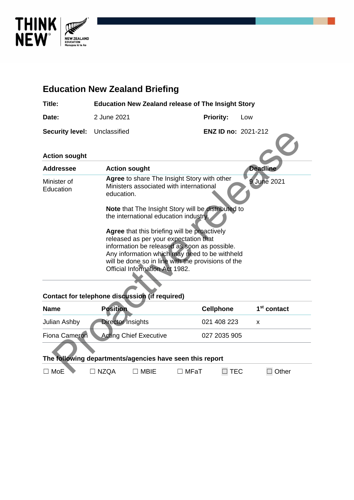

# **Education New Zealand Briefing Title: Education New Zealand release of The Insight Story Date:** 2 June 2021 **Priority:** Low **Security level:** Unclassified **ENZ ID no:** 2021-212 **Action sought Addressee Action sought Deadline** Minister of Education **Agree** to share The Insight Story with other Ministers associated with international education. **Note** that The Insight Story will be distributed to the international education industry. **Agree** that this briefing will be proactively released as per your expectation that information be released as soon as possible. Any information which may need to be withheld will be done so in line with the provisions of the Official Information Act 1982. 9 June 2021 ENZ ID no: 2021-212<br>
tion sought<br>
dressee Action sought<br>
Marge to share The Insight Story with other<br>
Sister of Ministers associated with international<br>
education<br>
Note that The Insight Story will be disturbed to<br>
the int

#### **Contact for telephone discussion (if required)**

| <b>Name</b>                                              | <b>Position</b>               |             |             | <b>Cellphone</b> | 1 <sup>st</sup> contact |
|----------------------------------------------------------|-------------------------------|-------------|-------------|------------------|-------------------------|
| Julian Ashby                                             | <b>Director Insights</b>      |             |             | 021 408 223      | x                       |
| <b>Fiona Cameron</b>                                     | <b>Acting Chief Executive</b> |             |             | 027 2035 905     |                         |
| The following departments/agencies have seen this report |                               |             |             |                  |                         |
| MoF                                                      | <b>NZOA</b>                   | <b>MBIF</b> | $\Box$ MFaT | TEC              | Other                   |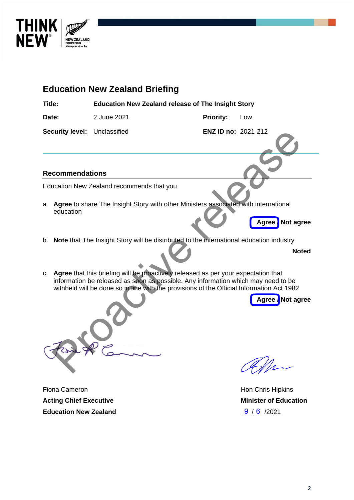

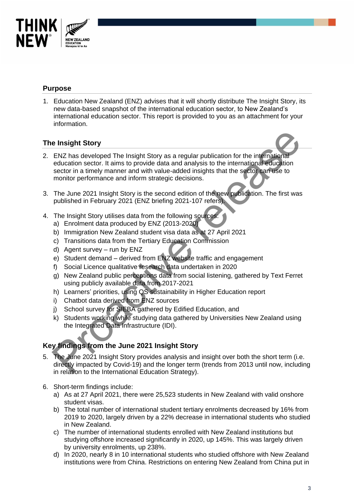

### **Purpose**

1. Education New Zealand (ENZ) advises that it will shortly distribute The Insight Story, its new data-based snapshot of the international education sector, to New Zealand's international education sector. This report is provided to you as an attachment for your information.

## **The Insight Story**

- 2. ENZ has developed The Insight Story as a regular publication for the international education sector. It aims to provide data and analysis to the international education sector in a timely manner and with value-added insights that the sector can use to monitor performance and inform strategic decisions. e Insight Story<br>
ENZ has developed The Insight Story as a regular publication for the international<br>
education sector. It aims to provide data and analysis to the international education<br>
sector in a timely manner and with
- 3. The June 2021 Insight Story is the second edition of the new publication. The first was published in February 2021 (ENZ briefing 2021-107 refers).
- 4. The Insight Story utilises data from the following sources:
	- a) Enrolment data produced by ENZ (2013-2020)
	- b) Immigration New Zealand student visa data as at 27 April 2021
	- c) Transitions data from the Tertiary Education Commission
	- d) Agent survey run by ENZ
	- e) Student demand derived from ENZ website traffic and engagement
	- f) Social Licence qualitative research data undertaken in 2020
	- g) New Zealand public perceptions data from social listening, gathered by Text Ferret using publicly available data from 2017-2021
	- h) Learners' priorities, using QS sustainability in Higher Education report
	- i) Chatbot data derived from ENZ sources
	- j) School survey for SIEBA gathered by Edified Education, and
	- k) Students working while studying data gathered by Universities New Zealand using the Integrated Data Infrastructure (IDI).

## **Key findings from the June 2021 Insight Story**

- 5. The June 2021 Insight Story provides analysis and insight over both the short term (i.e. directly impacted by Covid-19) and the longer term (trends from 2013 until now, including in relation to the International Education Strategy).
- 6. Short-term findings include:
	- a) As at 27 April 2021, there were 25,523 students in New Zealand with valid onshore student visas.
	- b) The total number of international student tertiary enrolments decreased by 16% from 2019 to 2020, largely driven by a 22% decrease in international students who studied in New Zealand.
	- c) The number of international students enrolled with New Zealand institutions but studying offshore increased significantly in 2020, up 145%. This was largely driven by university enrolments, up 238%.
	- d) In 2020, nearly 8 in 10 international students who studied offshore with New Zealand institutions were from China. Restrictions on entering New Zealand from China put in